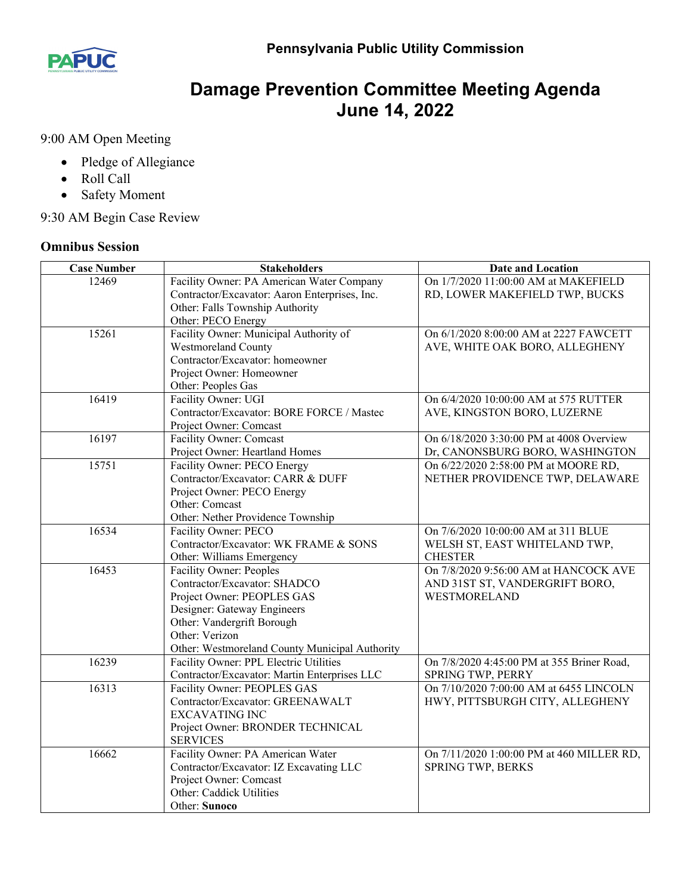

## **Damage Prevention Committee Meeting Agenda June 14, 2022**

9:00 AM Open Meeting

- Pledge of Allegiance
- Roll Call
- Safety Moment

9:30 AM Begin Case Review

## **Omnibus Session**

| <b>Case Number</b> | <b>Stakeholders</b>                            | <b>Date and Location</b>                   |
|--------------------|------------------------------------------------|--------------------------------------------|
| 12469              | Facility Owner: PA American Water Company      | On 1/7/2020 11:00:00 AM at MAKEFIELD       |
|                    | Contractor/Excavator: Aaron Enterprises, Inc.  | RD, LOWER MAKEFIELD TWP, BUCKS             |
|                    | Other: Falls Township Authority                |                                            |
|                    | Other: PECO Energy                             |                                            |
| 15261              | Facility Owner: Municipal Authority of         | On 6/1/2020 8:00:00 AM at 2227 FAWCETT     |
|                    | <b>Westmoreland County</b>                     | AVE, WHITE OAK BORO, ALLEGHENY             |
|                    | Contractor/Excavator: homeowner                |                                            |
|                    | Project Owner: Homeowner                       |                                            |
|                    | Other: Peoples Gas                             |                                            |
| 16419              | Facility Owner: UGI                            | On 6/4/2020 10:00:00 AM at 575 RUTTER      |
|                    | Contractor/Excavator: BORE FORCE / Mastec      | AVE, KINGSTON BORO, LUZERNE                |
|                    | Project Owner: Comcast                         |                                            |
| 16197              | Facility Owner: Comcast                        | On 6/18/2020 3:30:00 PM at 4008 Overview   |
|                    | Project Owner: Heartland Homes                 | Dr, CANONSBURG BORO, WASHINGTON            |
| 15751              | Facility Owner: PECO Energy                    | On 6/22/2020 2:58:00 PM at MOORE RD,       |
|                    | Contractor/Excavator: CARR & DUFF              | NETHER PROVIDENCE TWP, DELAWARE            |
|                    | Project Owner: PECO Energy                     |                                            |
|                    | Other: Comcast                                 |                                            |
|                    | Other: Nether Providence Township              |                                            |
| 16534              | Facility Owner: PECO                           | On 7/6/2020 10:00:00 AM at 311 BLUE        |
|                    | Contractor/Excavator: WK FRAME & SONS          | WELSH ST, EAST WHITELAND TWP,              |
|                    | Other: Williams Emergency                      | <b>CHESTER</b>                             |
| 16453              | Facility Owner: Peoples                        | On 7/8/2020 9:56:00 AM at HANCOCK AVE      |
|                    | Contractor/Excavator: SHADCO                   | AND 31ST ST, VANDERGRIFT BORO,             |
|                    | Project Owner: PEOPLES GAS                     | <b>WESTMORELAND</b>                        |
|                    | Designer: Gateway Engineers                    |                                            |
|                    | Other: Vandergrift Borough                     |                                            |
|                    | Other: Verizon                                 |                                            |
|                    | Other: Westmoreland County Municipal Authority |                                            |
| 16239              | Facility Owner: PPL Electric Utilities         | On 7/8/2020 4:45:00 PM at 355 Briner Road, |
|                    | Contractor/Excavator: Martin Enterprises LLC   | SPRING TWP, PERRY                          |
| 16313              | Facility Owner: PEOPLES GAS                    | On 7/10/2020 7:00:00 AM at 6455 LINCOLN    |
|                    | Contractor/Excavator: GREENAWALT               | HWY, PITTSBURGH CITY, ALLEGHENY            |
|                    | <b>EXCAVATING INC</b>                          |                                            |
|                    | Project Owner: BRONDER TECHNICAL               |                                            |
|                    | <b>SERVICES</b>                                |                                            |
| 16662              | Facility Owner: PA American Water              | On 7/11/2020 1:00:00 PM at 460 MILLER RD,  |
|                    | Contractor/Excavator: IZ Excavating LLC        | SPRING TWP, BERKS                          |
|                    | Project Owner: Comcast                         |                                            |
|                    | Other: Caddick Utilities                       |                                            |
|                    | Other: Sunoco                                  |                                            |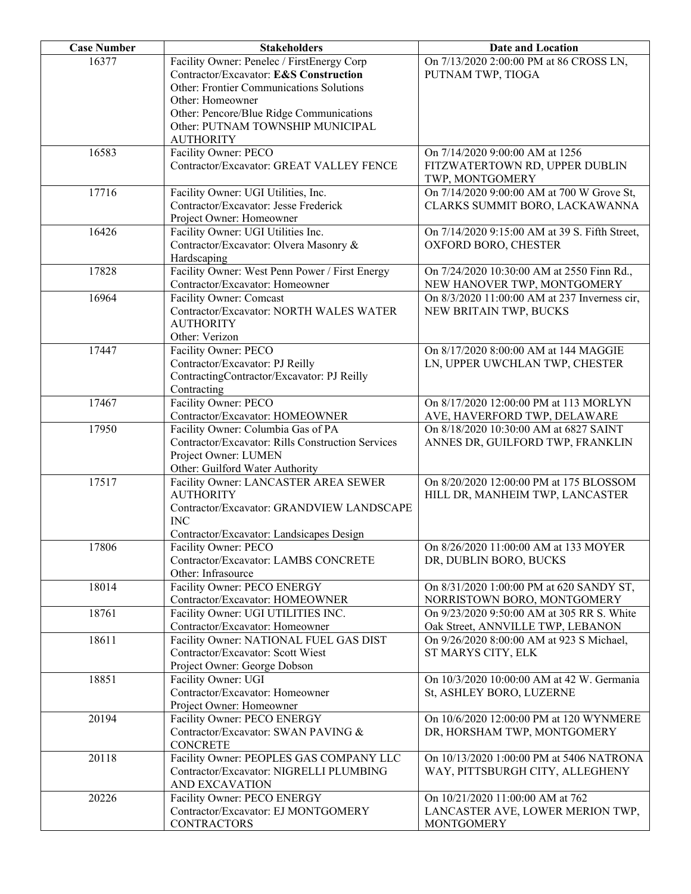| 16377<br>Facility Owner: Penelec / FirstEnergy Corp<br>On 7/13/2020 2:00:00 PM at 86 CROSS LN,<br>Contractor/Excavator: E&S Construction<br>PUTNAM TWP, TIOGA<br>Other: Frontier Communications Solutions<br>Other: Homeowner<br>Other: Pencore/Blue Ridge Communications<br>Other: PUTNAM TOWNSHIP MUNICIPAL<br><b>AUTHORITY</b><br>16583<br>Facility Owner: PECO<br>On 7/14/2020 9:00:00 AM at 1256<br>Contractor/Excavator: GREAT VALLEY FENCE<br>FITZWATERTOWN RD, UPPER DUBLIN<br>TWP, MONTGOMERY<br>17716<br>Facility Owner: UGI Utilities, Inc.<br>On 7/14/2020 9:00:00 AM at 700 W Grove St,<br>Contractor/Excavator: Jesse Frederick<br>CLARKS SUMMIT BORO, LACKAWANNA<br>Project Owner: Homeowner<br>Facility Owner: UGI Utilities Inc.<br>16426<br>On 7/14/2020 9:15:00 AM at 39 S. Fifth Street,<br>Contractor/Excavator: Olvera Masonry &<br>OXFORD BORO, CHESTER<br>Hardscaping<br>Facility Owner: West Penn Power / First Energy<br>17828<br>On 7/24/2020 10:30:00 AM at 2550 Finn Rd.,<br>Contractor/Excavator: Homeowner<br>NEW HANOVER TWP, MONTGOMERY<br>Facility Owner: Comcast<br>16964<br>On 8/3/2020 11:00:00 AM at 237 Inverness cir,<br>Contractor/Excavator: NORTH WALES WATER<br>NEW BRITAIN TWP, BUCKS<br><b>AUTHORITY</b><br>Other: Verizon<br>17447<br>Facility Owner: PECO<br>On 8/17/2020 8:00:00 AM at 144 MAGGIE<br>Contractor/Excavator: PJ Reilly<br>LN, UPPER UWCHLAN TWP, CHESTER<br>ContractingContractor/Excavator: PJ Reilly<br>Contracting<br>Facility Owner: PECO<br>17467<br>On 8/17/2020 12:00:00 PM at 113 MORLYN<br>Contractor/Excavator: HOMEOWNER<br>AVE, HAVERFORD TWP, DELAWARE<br>Facility Owner: Columbia Gas of PA<br>17950<br>On 8/18/2020 10:30:00 AM at 6827 SAINT<br>Contractor/Excavator: Rills Construction Services<br>ANNES DR, GUILFORD TWP, FRANKLIN<br>Project Owner: LUMEN<br>Other: Guilford Water Authority<br>Facility Owner: LANCASTER AREA SEWER<br>17517<br>On 8/20/2020 12:00:00 PM at 175 BLOSSOM<br><b>AUTHORITY</b><br>HILL DR, MANHEIM TWP, LANCASTER<br>Contractor/Excavator: GRANDVIEW LANDSCAPE<br><b>INC</b><br>Contractor/Excavator: Landsicapes Design<br>On 8/26/2020 11:00:00 AM at 133 MOYER<br>17806<br>Facility Owner: PECO<br>Contractor/Excavator: LAMBS CONCRETE<br>DR, DUBLIN BORO, BUCKS<br>Other: Infrasource<br>18014<br>Facility Owner: PECO ENERGY<br>On 8/31/2020 1:00:00 PM at 620 SANDY ST,<br>Contractor/Excavator: HOMEOWNER<br>NORRISTOWN BORO, MONTGOMERY<br>Facility Owner: UGI UTILITIES INC.<br>18761<br>On 9/23/2020 9:50:00 AM at 305 RR S. White<br>Contractor/Excavator: Homeowner<br>Oak Street, ANNVILLE TWP, LEBANON<br>Facility Owner: NATIONAL FUEL GAS DIST<br>18611<br>On 9/26/2020 8:00:00 AM at 923 S Michael,<br>Contractor/Excavator: Scott Wiest<br>ST MARYS CITY, ELK<br>Project Owner: George Dobson<br>18851<br>Facility Owner: UGI<br>On 10/3/2020 10:00:00 AM at 42 W. Germania<br>Contractor/Excavator: Homeowner<br>St, ASHLEY BORO, LUZERNE<br>Project Owner: Homeowner<br>20194<br>Facility Owner: PECO ENERGY<br>On 10/6/2020 12:00:00 PM at 120 WYNMERE<br>Contractor/Excavator: SWAN PAVING &<br>DR, HORSHAM TWP, MONTGOMERY<br><b>CONCRETE</b><br>20118<br>Facility Owner: PEOPLES GAS COMPANY LLC<br>On 10/13/2020 1:00:00 PM at 5406 NATRONA<br>Contractor/Excavator: NIGRELLI PLUMBING<br>WAY, PITTSBURGH CITY, ALLEGHENY<br>AND EXCAVATION<br>20226<br>On 10/21/2020 11:00:00 AM at 762<br>Facility Owner: PECO ENERGY<br>Contractor/Excavator: EJ MONTGOMERY<br>LANCASTER AVE, LOWER MERION TWP, | <b>Case Number</b> | <b>Stakeholders</b> | <b>Date and Location</b> |
|-----------------------------------------------------------------------------------------------------------------------------------------------------------------------------------------------------------------------------------------------------------------------------------------------------------------------------------------------------------------------------------------------------------------------------------------------------------------------------------------------------------------------------------------------------------------------------------------------------------------------------------------------------------------------------------------------------------------------------------------------------------------------------------------------------------------------------------------------------------------------------------------------------------------------------------------------------------------------------------------------------------------------------------------------------------------------------------------------------------------------------------------------------------------------------------------------------------------------------------------------------------------------------------------------------------------------------------------------------------------------------------------------------------------------------------------------------------------------------------------------------------------------------------------------------------------------------------------------------------------------------------------------------------------------------------------------------------------------------------------------------------------------------------------------------------------------------------------------------------------------------------------------------------------------------------------------------------------------------------------------------------------------------------------------------------------------------------------------------------------------------------------------------------------------------------------------------------------------------------------------------------------------------------------------------------------------------------------------------------------------------------------------------------------------------------------------------------------------------------------------------------------------------------------------------------------------------------------------------------------------------------------------------------------------------------------------------------------------------------------------------------------------------------------------------------------------------------------------------------------------------------------------------------------------------------------------------------------------------------------------------------------------------------------------------------------------------------------------------------------------------------------------------------------------------------------------------------------------------------------------------------------------------------------------------------------------------------------------------------------------------------------------------------------------------------------------------------------------------------------------------------------------------------------------|--------------------|---------------------|--------------------------|
|                                                                                                                                                                                                                                                                                                                                                                                                                                                                                                                                                                                                                                                                                                                                                                                                                                                                                                                                                                                                                                                                                                                                                                                                                                                                                                                                                                                                                                                                                                                                                                                                                                                                                                                                                                                                                                                                                                                                                                                                                                                                                                                                                                                                                                                                                                                                                                                                                                                                                                                                                                                                                                                                                                                                                                                                                                                                                                                                                                                                                                                                                                                                                                                                                                                                                                                                                                                                                                                                                                                                               |                    |                     |                          |
|                                                                                                                                                                                                                                                                                                                                                                                                                                                                                                                                                                                                                                                                                                                                                                                                                                                                                                                                                                                                                                                                                                                                                                                                                                                                                                                                                                                                                                                                                                                                                                                                                                                                                                                                                                                                                                                                                                                                                                                                                                                                                                                                                                                                                                                                                                                                                                                                                                                                                                                                                                                                                                                                                                                                                                                                                                                                                                                                                                                                                                                                                                                                                                                                                                                                                                                                                                                                                                                                                                                                               |                    |                     |                          |
|                                                                                                                                                                                                                                                                                                                                                                                                                                                                                                                                                                                                                                                                                                                                                                                                                                                                                                                                                                                                                                                                                                                                                                                                                                                                                                                                                                                                                                                                                                                                                                                                                                                                                                                                                                                                                                                                                                                                                                                                                                                                                                                                                                                                                                                                                                                                                                                                                                                                                                                                                                                                                                                                                                                                                                                                                                                                                                                                                                                                                                                                                                                                                                                                                                                                                                                                                                                                                                                                                                                                               |                    |                     |                          |
|                                                                                                                                                                                                                                                                                                                                                                                                                                                                                                                                                                                                                                                                                                                                                                                                                                                                                                                                                                                                                                                                                                                                                                                                                                                                                                                                                                                                                                                                                                                                                                                                                                                                                                                                                                                                                                                                                                                                                                                                                                                                                                                                                                                                                                                                                                                                                                                                                                                                                                                                                                                                                                                                                                                                                                                                                                                                                                                                                                                                                                                                                                                                                                                                                                                                                                                                                                                                                                                                                                                                               |                    |                     |                          |
|                                                                                                                                                                                                                                                                                                                                                                                                                                                                                                                                                                                                                                                                                                                                                                                                                                                                                                                                                                                                                                                                                                                                                                                                                                                                                                                                                                                                                                                                                                                                                                                                                                                                                                                                                                                                                                                                                                                                                                                                                                                                                                                                                                                                                                                                                                                                                                                                                                                                                                                                                                                                                                                                                                                                                                                                                                                                                                                                                                                                                                                                                                                                                                                                                                                                                                                                                                                                                                                                                                                                               |                    |                     |                          |
|                                                                                                                                                                                                                                                                                                                                                                                                                                                                                                                                                                                                                                                                                                                                                                                                                                                                                                                                                                                                                                                                                                                                                                                                                                                                                                                                                                                                                                                                                                                                                                                                                                                                                                                                                                                                                                                                                                                                                                                                                                                                                                                                                                                                                                                                                                                                                                                                                                                                                                                                                                                                                                                                                                                                                                                                                                                                                                                                                                                                                                                                                                                                                                                                                                                                                                                                                                                                                                                                                                                                               |                    |                     |                          |
|                                                                                                                                                                                                                                                                                                                                                                                                                                                                                                                                                                                                                                                                                                                                                                                                                                                                                                                                                                                                                                                                                                                                                                                                                                                                                                                                                                                                                                                                                                                                                                                                                                                                                                                                                                                                                                                                                                                                                                                                                                                                                                                                                                                                                                                                                                                                                                                                                                                                                                                                                                                                                                                                                                                                                                                                                                                                                                                                                                                                                                                                                                                                                                                                                                                                                                                                                                                                                                                                                                                                               |                    |                     |                          |
|                                                                                                                                                                                                                                                                                                                                                                                                                                                                                                                                                                                                                                                                                                                                                                                                                                                                                                                                                                                                                                                                                                                                                                                                                                                                                                                                                                                                                                                                                                                                                                                                                                                                                                                                                                                                                                                                                                                                                                                                                                                                                                                                                                                                                                                                                                                                                                                                                                                                                                                                                                                                                                                                                                                                                                                                                                                                                                                                                                                                                                                                                                                                                                                                                                                                                                                                                                                                                                                                                                                                               |                    |                     |                          |
|                                                                                                                                                                                                                                                                                                                                                                                                                                                                                                                                                                                                                                                                                                                                                                                                                                                                                                                                                                                                                                                                                                                                                                                                                                                                                                                                                                                                                                                                                                                                                                                                                                                                                                                                                                                                                                                                                                                                                                                                                                                                                                                                                                                                                                                                                                                                                                                                                                                                                                                                                                                                                                                                                                                                                                                                                                                                                                                                                                                                                                                                                                                                                                                                                                                                                                                                                                                                                                                                                                                                               |                    |                     |                          |
|                                                                                                                                                                                                                                                                                                                                                                                                                                                                                                                                                                                                                                                                                                                                                                                                                                                                                                                                                                                                                                                                                                                                                                                                                                                                                                                                                                                                                                                                                                                                                                                                                                                                                                                                                                                                                                                                                                                                                                                                                                                                                                                                                                                                                                                                                                                                                                                                                                                                                                                                                                                                                                                                                                                                                                                                                                                                                                                                                                                                                                                                                                                                                                                                                                                                                                                                                                                                                                                                                                                                               |                    |                     |                          |
|                                                                                                                                                                                                                                                                                                                                                                                                                                                                                                                                                                                                                                                                                                                                                                                                                                                                                                                                                                                                                                                                                                                                                                                                                                                                                                                                                                                                                                                                                                                                                                                                                                                                                                                                                                                                                                                                                                                                                                                                                                                                                                                                                                                                                                                                                                                                                                                                                                                                                                                                                                                                                                                                                                                                                                                                                                                                                                                                                                                                                                                                                                                                                                                                                                                                                                                                                                                                                                                                                                                                               |                    |                     |                          |
|                                                                                                                                                                                                                                                                                                                                                                                                                                                                                                                                                                                                                                                                                                                                                                                                                                                                                                                                                                                                                                                                                                                                                                                                                                                                                                                                                                                                                                                                                                                                                                                                                                                                                                                                                                                                                                                                                                                                                                                                                                                                                                                                                                                                                                                                                                                                                                                                                                                                                                                                                                                                                                                                                                                                                                                                                                                                                                                                                                                                                                                                                                                                                                                                                                                                                                                                                                                                                                                                                                                                               |                    |                     |                          |
|                                                                                                                                                                                                                                                                                                                                                                                                                                                                                                                                                                                                                                                                                                                                                                                                                                                                                                                                                                                                                                                                                                                                                                                                                                                                                                                                                                                                                                                                                                                                                                                                                                                                                                                                                                                                                                                                                                                                                                                                                                                                                                                                                                                                                                                                                                                                                                                                                                                                                                                                                                                                                                                                                                                                                                                                                                                                                                                                                                                                                                                                                                                                                                                                                                                                                                                                                                                                                                                                                                                                               |                    |                     |                          |
|                                                                                                                                                                                                                                                                                                                                                                                                                                                                                                                                                                                                                                                                                                                                                                                                                                                                                                                                                                                                                                                                                                                                                                                                                                                                                                                                                                                                                                                                                                                                                                                                                                                                                                                                                                                                                                                                                                                                                                                                                                                                                                                                                                                                                                                                                                                                                                                                                                                                                                                                                                                                                                                                                                                                                                                                                                                                                                                                                                                                                                                                                                                                                                                                                                                                                                                                                                                                                                                                                                                                               |                    |                     |                          |
|                                                                                                                                                                                                                                                                                                                                                                                                                                                                                                                                                                                                                                                                                                                                                                                                                                                                                                                                                                                                                                                                                                                                                                                                                                                                                                                                                                                                                                                                                                                                                                                                                                                                                                                                                                                                                                                                                                                                                                                                                                                                                                                                                                                                                                                                                                                                                                                                                                                                                                                                                                                                                                                                                                                                                                                                                                                                                                                                                                                                                                                                                                                                                                                                                                                                                                                                                                                                                                                                                                                                               |                    |                     |                          |
|                                                                                                                                                                                                                                                                                                                                                                                                                                                                                                                                                                                                                                                                                                                                                                                                                                                                                                                                                                                                                                                                                                                                                                                                                                                                                                                                                                                                                                                                                                                                                                                                                                                                                                                                                                                                                                                                                                                                                                                                                                                                                                                                                                                                                                                                                                                                                                                                                                                                                                                                                                                                                                                                                                                                                                                                                                                                                                                                                                                                                                                                                                                                                                                                                                                                                                                                                                                                                                                                                                                                               |                    |                     |                          |
|                                                                                                                                                                                                                                                                                                                                                                                                                                                                                                                                                                                                                                                                                                                                                                                                                                                                                                                                                                                                                                                                                                                                                                                                                                                                                                                                                                                                                                                                                                                                                                                                                                                                                                                                                                                                                                                                                                                                                                                                                                                                                                                                                                                                                                                                                                                                                                                                                                                                                                                                                                                                                                                                                                                                                                                                                                                                                                                                                                                                                                                                                                                                                                                                                                                                                                                                                                                                                                                                                                                                               |                    |                     |                          |
|                                                                                                                                                                                                                                                                                                                                                                                                                                                                                                                                                                                                                                                                                                                                                                                                                                                                                                                                                                                                                                                                                                                                                                                                                                                                                                                                                                                                                                                                                                                                                                                                                                                                                                                                                                                                                                                                                                                                                                                                                                                                                                                                                                                                                                                                                                                                                                                                                                                                                                                                                                                                                                                                                                                                                                                                                                                                                                                                                                                                                                                                                                                                                                                                                                                                                                                                                                                                                                                                                                                                               |                    |                     |                          |
|                                                                                                                                                                                                                                                                                                                                                                                                                                                                                                                                                                                                                                                                                                                                                                                                                                                                                                                                                                                                                                                                                                                                                                                                                                                                                                                                                                                                                                                                                                                                                                                                                                                                                                                                                                                                                                                                                                                                                                                                                                                                                                                                                                                                                                                                                                                                                                                                                                                                                                                                                                                                                                                                                                                                                                                                                                                                                                                                                                                                                                                                                                                                                                                                                                                                                                                                                                                                                                                                                                                                               |                    |                     |                          |
|                                                                                                                                                                                                                                                                                                                                                                                                                                                                                                                                                                                                                                                                                                                                                                                                                                                                                                                                                                                                                                                                                                                                                                                                                                                                                                                                                                                                                                                                                                                                                                                                                                                                                                                                                                                                                                                                                                                                                                                                                                                                                                                                                                                                                                                                                                                                                                                                                                                                                                                                                                                                                                                                                                                                                                                                                                                                                                                                                                                                                                                                                                                                                                                                                                                                                                                                                                                                                                                                                                                                               |                    |                     |                          |
|                                                                                                                                                                                                                                                                                                                                                                                                                                                                                                                                                                                                                                                                                                                                                                                                                                                                                                                                                                                                                                                                                                                                                                                                                                                                                                                                                                                                                                                                                                                                                                                                                                                                                                                                                                                                                                                                                                                                                                                                                                                                                                                                                                                                                                                                                                                                                                                                                                                                                                                                                                                                                                                                                                                                                                                                                                                                                                                                                                                                                                                                                                                                                                                                                                                                                                                                                                                                                                                                                                                                               |                    |                     |                          |
|                                                                                                                                                                                                                                                                                                                                                                                                                                                                                                                                                                                                                                                                                                                                                                                                                                                                                                                                                                                                                                                                                                                                                                                                                                                                                                                                                                                                                                                                                                                                                                                                                                                                                                                                                                                                                                                                                                                                                                                                                                                                                                                                                                                                                                                                                                                                                                                                                                                                                                                                                                                                                                                                                                                                                                                                                                                                                                                                                                                                                                                                                                                                                                                                                                                                                                                                                                                                                                                                                                                                               |                    |                     |                          |
|                                                                                                                                                                                                                                                                                                                                                                                                                                                                                                                                                                                                                                                                                                                                                                                                                                                                                                                                                                                                                                                                                                                                                                                                                                                                                                                                                                                                                                                                                                                                                                                                                                                                                                                                                                                                                                                                                                                                                                                                                                                                                                                                                                                                                                                                                                                                                                                                                                                                                                                                                                                                                                                                                                                                                                                                                                                                                                                                                                                                                                                                                                                                                                                                                                                                                                                                                                                                                                                                                                                                               |                    |                     |                          |
|                                                                                                                                                                                                                                                                                                                                                                                                                                                                                                                                                                                                                                                                                                                                                                                                                                                                                                                                                                                                                                                                                                                                                                                                                                                                                                                                                                                                                                                                                                                                                                                                                                                                                                                                                                                                                                                                                                                                                                                                                                                                                                                                                                                                                                                                                                                                                                                                                                                                                                                                                                                                                                                                                                                                                                                                                                                                                                                                                                                                                                                                                                                                                                                                                                                                                                                                                                                                                                                                                                                                               |                    |                     |                          |
|                                                                                                                                                                                                                                                                                                                                                                                                                                                                                                                                                                                                                                                                                                                                                                                                                                                                                                                                                                                                                                                                                                                                                                                                                                                                                                                                                                                                                                                                                                                                                                                                                                                                                                                                                                                                                                                                                                                                                                                                                                                                                                                                                                                                                                                                                                                                                                                                                                                                                                                                                                                                                                                                                                                                                                                                                                                                                                                                                                                                                                                                                                                                                                                                                                                                                                                                                                                                                                                                                                                                               |                    |                     |                          |
|                                                                                                                                                                                                                                                                                                                                                                                                                                                                                                                                                                                                                                                                                                                                                                                                                                                                                                                                                                                                                                                                                                                                                                                                                                                                                                                                                                                                                                                                                                                                                                                                                                                                                                                                                                                                                                                                                                                                                                                                                                                                                                                                                                                                                                                                                                                                                                                                                                                                                                                                                                                                                                                                                                                                                                                                                                                                                                                                                                                                                                                                                                                                                                                                                                                                                                                                                                                                                                                                                                                                               |                    |                     |                          |
|                                                                                                                                                                                                                                                                                                                                                                                                                                                                                                                                                                                                                                                                                                                                                                                                                                                                                                                                                                                                                                                                                                                                                                                                                                                                                                                                                                                                                                                                                                                                                                                                                                                                                                                                                                                                                                                                                                                                                                                                                                                                                                                                                                                                                                                                                                                                                                                                                                                                                                                                                                                                                                                                                                                                                                                                                                                                                                                                                                                                                                                                                                                                                                                                                                                                                                                                                                                                                                                                                                                                               |                    |                     |                          |
|                                                                                                                                                                                                                                                                                                                                                                                                                                                                                                                                                                                                                                                                                                                                                                                                                                                                                                                                                                                                                                                                                                                                                                                                                                                                                                                                                                                                                                                                                                                                                                                                                                                                                                                                                                                                                                                                                                                                                                                                                                                                                                                                                                                                                                                                                                                                                                                                                                                                                                                                                                                                                                                                                                                                                                                                                                                                                                                                                                                                                                                                                                                                                                                                                                                                                                                                                                                                                                                                                                                                               |                    |                     |                          |
|                                                                                                                                                                                                                                                                                                                                                                                                                                                                                                                                                                                                                                                                                                                                                                                                                                                                                                                                                                                                                                                                                                                                                                                                                                                                                                                                                                                                                                                                                                                                                                                                                                                                                                                                                                                                                                                                                                                                                                                                                                                                                                                                                                                                                                                                                                                                                                                                                                                                                                                                                                                                                                                                                                                                                                                                                                                                                                                                                                                                                                                                                                                                                                                                                                                                                                                                                                                                                                                                                                                                               |                    |                     |                          |
|                                                                                                                                                                                                                                                                                                                                                                                                                                                                                                                                                                                                                                                                                                                                                                                                                                                                                                                                                                                                                                                                                                                                                                                                                                                                                                                                                                                                                                                                                                                                                                                                                                                                                                                                                                                                                                                                                                                                                                                                                                                                                                                                                                                                                                                                                                                                                                                                                                                                                                                                                                                                                                                                                                                                                                                                                                                                                                                                                                                                                                                                                                                                                                                                                                                                                                                                                                                                                                                                                                                                               |                    |                     |                          |
|                                                                                                                                                                                                                                                                                                                                                                                                                                                                                                                                                                                                                                                                                                                                                                                                                                                                                                                                                                                                                                                                                                                                                                                                                                                                                                                                                                                                                                                                                                                                                                                                                                                                                                                                                                                                                                                                                                                                                                                                                                                                                                                                                                                                                                                                                                                                                                                                                                                                                                                                                                                                                                                                                                                                                                                                                                                                                                                                                                                                                                                                                                                                                                                                                                                                                                                                                                                                                                                                                                                                               |                    |                     |                          |
|                                                                                                                                                                                                                                                                                                                                                                                                                                                                                                                                                                                                                                                                                                                                                                                                                                                                                                                                                                                                                                                                                                                                                                                                                                                                                                                                                                                                                                                                                                                                                                                                                                                                                                                                                                                                                                                                                                                                                                                                                                                                                                                                                                                                                                                                                                                                                                                                                                                                                                                                                                                                                                                                                                                                                                                                                                                                                                                                                                                                                                                                                                                                                                                                                                                                                                                                                                                                                                                                                                                                               |                    |                     |                          |
|                                                                                                                                                                                                                                                                                                                                                                                                                                                                                                                                                                                                                                                                                                                                                                                                                                                                                                                                                                                                                                                                                                                                                                                                                                                                                                                                                                                                                                                                                                                                                                                                                                                                                                                                                                                                                                                                                                                                                                                                                                                                                                                                                                                                                                                                                                                                                                                                                                                                                                                                                                                                                                                                                                                                                                                                                                                                                                                                                                                                                                                                                                                                                                                                                                                                                                                                                                                                                                                                                                                                               |                    |                     |                          |
|                                                                                                                                                                                                                                                                                                                                                                                                                                                                                                                                                                                                                                                                                                                                                                                                                                                                                                                                                                                                                                                                                                                                                                                                                                                                                                                                                                                                                                                                                                                                                                                                                                                                                                                                                                                                                                                                                                                                                                                                                                                                                                                                                                                                                                                                                                                                                                                                                                                                                                                                                                                                                                                                                                                                                                                                                                                                                                                                                                                                                                                                                                                                                                                                                                                                                                                                                                                                                                                                                                                                               |                    |                     |                          |
|                                                                                                                                                                                                                                                                                                                                                                                                                                                                                                                                                                                                                                                                                                                                                                                                                                                                                                                                                                                                                                                                                                                                                                                                                                                                                                                                                                                                                                                                                                                                                                                                                                                                                                                                                                                                                                                                                                                                                                                                                                                                                                                                                                                                                                                                                                                                                                                                                                                                                                                                                                                                                                                                                                                                                                                                                                                                                                                                                                                                                                                                                                                                                                                                                                                                                                                                                                                                                                                                                                                                               |                    |                     |                          |
|                                                                                                                                                                                                                                                                                                                                                                                                                                                                                                                                                                                                                                                                                                                                                                                                                                                                                                                                                                                                                                                                                                                                                                                                                                                                                                                                                                                                                                                                                                                                                                                                                                                                                                                                                                                                                                                                                                                                                                                                                                                                                                                                                                                                                                                                                                                                                                                                                                                                                                                                                                                                                                                                                                                                                                                                                                                                                                                                                                                                                                                                                                                                                                                                                                                                                                                                                                                                                                                                                                                                               |                    |                     |                          |
|                                                                                                                                                                                                                                                                                                                                                                                                                                                                                                                                                                                                                                                                                                                                                                                                                                                                                                                                                                                                                                                                                                                                                                                                                                                                                                                                                                                                                                                                                                                                                                                                                                                                                                                                                                                                                                                                                                                                                                                                                                                                                                                                                                                                                                                                                                                                                                                                                                                                                                                                                                                                                                                                                                                                                                                                                                                                                                                                                                                                                                                                                                                                                                                                                                                                                                                                                                                                                                                                                                                                               |                    |                     |                          |
|                                                                                                                                                                                                                                                                                                                                                                                                                                                                                                                                                                                                                                                                                                                                                                                                                                                                                                                                                                                                                                                                                                                                                                                                                                                                                                                                                                                                                                                                                                                                                                                                                                                                                                                                                                                                                                                                                                                                                                                                                                                                                                                                                                                                                                                                                                                                                                                                                                                                                                                                                                                                                                                                                                                                                                                                                                                                                                                                                                                                                                                                                                                                                                                                                                                                                                                                                                                                                                                                                                                                               |                    |                     |                          |
|                                                                                                                                                                                                                                                                                                                                                                                                                                                                                                                                                                                                                                                                                                                                                                                                                                                                                                                                                                                                                                                                                                                                                                                                                                                                                                                                                                                                                                                                                                                                                                                                                                                                                                                                                                                                                                                                                                                                                                                                                                                                                                                                                                                                                                                                                                                                                                                                                                                                                                                                                                                                                                                                                                                                                                                                                                                                                                                                                                                                                                                                                                                                                                                                                                                                                                                                                                                                                                                                                                                                               |                    |                     |                          |
|                                                                                                                                                                                                                                                                                                                                                                                                                                                                                                                                                                                                                                                                                                                                                                                                                                                                                                                                                                                                                                                                                                                                                                                                                                                                                                                                                                                                                                                                                                                                                                                                                                                                                                                                                                                                                                                                                                                                                                                                                                                                                                                                                                                                                                                                                                                                                                                                                                                                                                                                                                                                                                                                                                                                                                                                                                                                                                                                                                                                                                                                                                                                                                                                                                                                                                                                                                                                                                                                                                                                               |                    |                     |                          |
|                                                                                                                                                                                                                                                                                                                                                                                                                                                                                                                                                                                                                                                                                                                                                                                                                                                                                                                                                                                                                                                                                                                                                                                                                                                                                                                                                                                                                                                                                                                                                                                                                                                                                                                                                                                                                                                                                                                                                                                                                                                                                                                                                                                                                                                                                                                                                                                                                                                                                                                                                                                                                                                                                                                                                                                                                                                                                                                                                                                                                                                                                                                                                                                                                                                                                                                                                                                                                                                                                                                                               |                    |                     |                          |
|                                                                                                                                                                                                                                                                                                                                                                                                                                                                                                                                                                                                                                                                                                                                                                                                                                                                                                                                                                                                                                                                                                                                                                                                                                                                                                                                                                                                                                                                                                                                                                                                                                                                                                                                                                                                                                                                                                                                                                                                                                                                                                                                                                                                                                                                                                                                                                                                                                                                                                                                                                                                                                                                                                                                                                                                                                                                                                                                                                                                                                                                                                                                                                                                                                                                                                                                                                                                                                                                                                                                               |                    |                     |                          |
|                                                                                                                                                                                                                                                                                                                                                                                                                                                                                                                                                                                                                                                                                                                                                                                                                                                                                                                                                                                                                                                                                                                                                                                                                                                                                                                                                                                                                                                                                                                                                                                                                                                                                                                                                                                                                                                                                                                                                                                                                                                                                                                                                                                                                                                                                                                                                                                                                                                                                                                                                                                                                                                                                                                                                                                                                                                                                                                                                                                                                                                                                                                                                                                                                                                                                                                                                                                                                                                                                                                                               |                    |                     |                          |
|                                                                                                                                                                                                                                                                                                                                                                                                                                                                                                                                                                                                                                                                                                                                                                                                                                                                                                                                                                                                                                                                                                                                                                                                                                                                                                                                                                                                                                                                                                                                                                                                                                                                                                                                                                                                                                                                                                                                                                                                                                                                                                                                                                                                                                                                                                                                                                                                                                                                                                                                                                                                                                                                                                                                                                                                                                                                                                                                                                                                                                                                                                                                                                                                                                                                                                                                                                                                                                                                                                                                               |                    |                     |                          |
|                                                                                                                                                                                                                                                                                                                                                                                                                                                                                                                                                                                                                                                                                                                                                                                                                                                                                                                                                                                                                                                                                                                                                                                                                                                                                                                                                                                                                                                                                                                                                                                                                                                                                                                                                                                                                                                                                                                                                                                                                                                                                                                                                                                                                                                                                                                                                                                                                                                                                                                                                                                                                                                                                                                                                                                                                                                                                                                                                                                                                                                                                                                                                                                                                                                                                                                                                                                                                                                                                                                                               |                    |                     |                          |
|                                                                                                                                                                                                                                                                                                                                                                                                                                                                                                                                                                                                                                                                                                                                                                                                                                                                                                                                                                                                                                                                                                                                                                                                                                                                                                                                                                                                                                                                                                                                                                                                                                                                                                                                                                                                                                                                                                                                                                                                                                                                                                                                                                                                                                                                                                                                                                                                                                                                                                                                                                                                                                                                                                                                                                                                                                                                                                                                                                                                                                                                                                                                                                                                                                                                                                                                                                                                                                                                                                                                               |                    |                     |                          |
|                                                                                                                                                                                                                                                                                                                                                                                                                                                                                                                                                                                                                                                                                                                                                                                                                                                                                                                                                                                                                                                                                                                                                                                                                                                                                                                                                                                                                                                                                                                                                                                                                                                                                                                                                                                                                                                                                                                                                                                                                                                                                                                                                                                                                                                                                                                                                                                                                                                                                                                                                                                                                                                                                                                                                                                                                                                                                                                                                                                                                                                                                                                                                                                                                                                                                                                                                                                                                                                                                                                                               |                    |                     |                          |
|                                                                                                                                                                                                                                                                                                                                                                                                                                                                                                                                                                                                                                                                                                                                                                                                                                                                                                                                                                                                                                                                                                                                                                                                                                                                                                                                                                                                                                                                                                                                                                                                                                                                                                                                                                                                                                                                                                                                                                                                                                                                                                                                                                                                                                                                                                                                                                                                                                                                                                                                                                                                                                                                                                                                                                                                                                                                                                                                                                                                                                                                                                                                                                                                                                                                                                                                                                                                                                                                                                                                               |                    |                     |                          |
|                                                                                                                                                                                                                                                                                                                                                                                                                                                                                                                                                                                                                                                                                                                                                                                                                                                                                                                                                                                                                                                                                                                                                                                                                                                                                                                                                                                                                                                                                                                                                                                                                                                                                                                                                                                                                                                                                                                                                                                                                                                                                                                                                                                                                                                                                                                                                                                                                                                                                                                                                                                                                                                                                                                                                                                                                                                                                                                                                                                                                                                                                                                                                                                                                                                                                                                                                                                                                                                                                                                                               |                    |                     |                          |
|                                                                                                                                                                                                                                                                                                                                                                                                                                                                                                                                                                                                                                                                                                                                                                                                                                                                                                                                                                                                                                                                                                                                                                                                                                                                                                                                                                                                                                                                                                                                                                                                                                                                                                                                                                                                                                                                                                                                                                                                                                                                                                                                                                                                                                                                                                                                                                                                                                                                                                                                                                                                                                                                                                                                                                                                                                                                                                                                                                                                                                                                                                                                                                                                                                                                                                                                                                                                                                                                                                                                               |                    |                     |                          |
|                                                                                                                                                                                                                                                                                                                                                                                                                                                                                                                                                                                                                                                                                                                                                                                                                                                                                                                                                                                                                                                                                                                                                                                                                                                                                                                                                                                                                                                                                                                                                                                                                                                                                                                                                                                                                                                                                                                                                                                                                                                                                                                                                                                                                                                                                                                                                                                                                                                                                                                                                                                                                                                                                                                                                                                                                                                                                                                                                                                                                                                                                                                                                                                                                                                                                                                                                                                                                                                                                                                                               |                    |                     |                          |
|                                                                                                                                                                                                                                                                                                                                                                                                                                                                                                                                                                                                                                                                                                                                                                                                                                                                                                                                                                                                                                                                                                                                                                                                                                                                                                                                                                                                                                                                                                                                                                                                                                                                                                                                                                                                                                                                                                                                                                                                                                                                                                                                                                                                                                                                                                                                                                                                                                                                                                                                                                                                                                                                                                                                                                                                                                                                                                                                                                                                                                                                                                                                                                                                                                                                                                                                                                                                                                                                                                                                               |                    |                     |                          |
|                                                                                                                                                                                                                                                                                                                                                                                                                                                                                                                                                                                                                                                                                                                                                                                                                                                                                                                                                                                                                                                                                                                                                                                                                                                                                                                                                                                                                                                                                                                                                                                                                                                                                                                                                                                                                                                                                                                                                                                                                                                                                                                                                                                                                                                                                                                                                                                                                                                                                                                                                                                                                                                                                                                                                                                                                                                                                                                                                                                                                                                                                                                                                                                                                                                                                                                                                                                                                                                                                                                                               |                    |                     |                          |
|                                                                                                                                                                                                                                                                                                                                                                                                                                                                                                                                                                                                                                                                                                                                                                                                                                                                                                                                                                                                                                                                                                                                                                                                                                                                                                                                                                                                                                                                                                                                                                                                                                                                                                                                                                                                                                                                                                                                                                                                                                                                                                                                                                                                                                                                                                                                                                                                                                                                                                                                                                                                                                                                                                                                                                                                                                                                                                                                                                                                                                                                                                                                                                                                                                                                                                                                                                                                                                                                                                                                               |                    |                     |                          |
|                                                                                                                                                                                                                                                                                                                                                                                                                                                                                                                                                                                                                                                                                                                                                                                                                                                                                                                                                                                                                                                                                                                                                                                                                                                                                                                                                                                                                                                                                                                                                                                                                                                                                                                                                                                                                                                                                                                                                                                                                                                                                                                                                                                                                                                                                                                                                                                                                                                                                                                                                                                                                                                                                                                                                                                                                                                                                                                                                                                                                                                                                                                                                                                                                                                                                                                                                                                                                                                                                                                                               |                    |                     |                          |
|                                                                                                                                                                                                                                                                                                                                                                                                                                                                                                                                                                                                                                                                                                                                                                                                                                                                                                                                                                                                                                                                                                                                                                                                                                                                                                                                                                                                                                                                                                                                                                                                                                                                                                                                                                                                                                                                                                                                                                                                                                                                                                                                                                                                                                                                                                                                                                                                                                                                                                                                                                                                                                                                                                                                                                                                                                                                                                                                                                                                                                                                                                                                                                                                                                                                                                                                                                                                                                                                                                                                               |                    |                     |                          |
|                                                                                                                                                                                                                                                                                                                                                                                                                                                                                                                                                                                                                                                                                                                                                                                                                                                                                                                                                                                                                                                                                                                                                                                                                                                                                                                                                                                                                                                                                                                                                                                                                                                                                                                                                                                                                                                                                                                                                                                                                                                                                                                                                                                                                                                                                                                                                                                                                                                                                                                                                                                                                                                                                                                                                                                                                                                                                                                                                                                                                                                                                                                                                                                                                                                                                                                                                                                                                                                                                                                                               |                    |                     |                          |
|                                                                                                                                                                                                                                                                                                                                                                                                                                                                                                                                                                                                                                                                                                                                                                                                                                                                                                                                                                                                                                                                                                                                                                                                                                                                                                                                                                                                                                                                                                                                                                                                                                                                                                                                                                                                                                                                                                                                                                                                                                                                                                                                                                                                                                                                                                                                                                                                                                                                                                                                                                                                                                                                                                                                                                                                                                                                                                                                                                                                                                                                                                                                                                                                                                                                                                                                                                                                                                                                                                                                               |                    | <b>CONTRACTORS</b>  | MONTGOMERY               |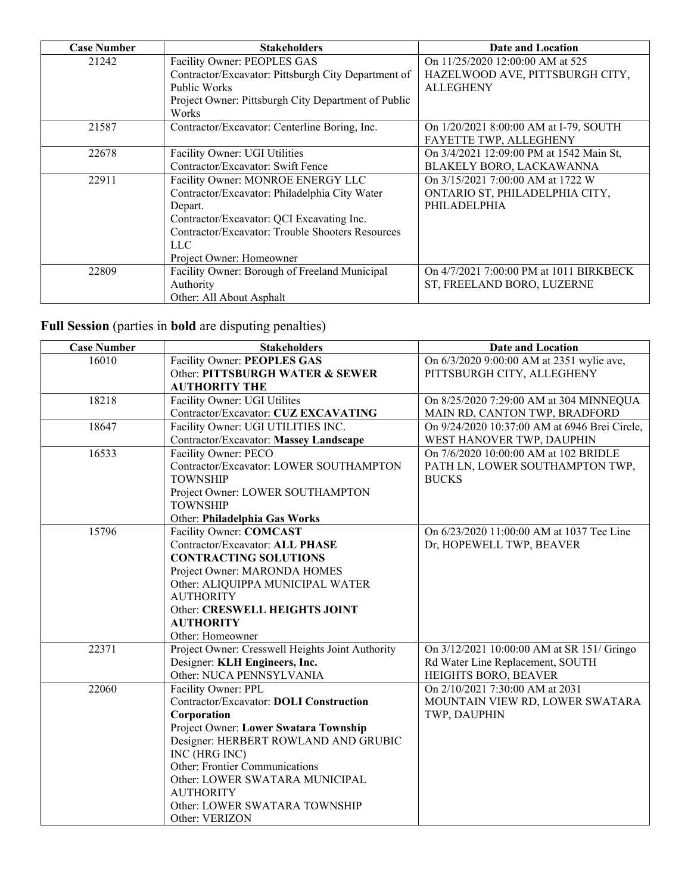| <b>Case Number</b> | <b>Stakeholders</b>                                 | Date and Location                        |
|--------------------|-----------------------------------------------------|------------------------------------------|
| 21242              | Facility Owner: PEOPLES GAS                         | On 11/25/2020 12:00:00 AM at 525         |
|                    | Contractor/Excavator: Pittsburgh City Department of | HAZELWOOD AVE, PITTSBURGH CITY,          |
|                    | Public Works                                        | <b>ALLEGHENY</b>                         |
|                    | Project Owner: Pittsburgh City Department of Public |                                          |
|                    | Works                                               |                                          |
| 21587              | Contractor/Excavator: Centerline Boring, Inc.       | On 1/20/2021 8:00:00 AM at I-79, SOUTH   |
|                    |                                                     | FAYETTE TWP, ALLEGHENY                   |
| 22678              | Facility Owner: UGI Utilities                       | On 3/4/2021 12:09:00 PM at 1542 Main St, |
|                    | Contractor/Excavator: Swift Fence                   | BLAKELY BORO, LACKAWANNA                 |
| 22911              | Facility Owner: MONROE ENERGY LLC                   | On 3/15/2021 7:00:00 AM at 1722 W        |
|                    | Contractor/Excavator: Philadelphia City Water       | ONTARIO ST, PHILADELPHIA CITY,           |
|                    | Depart.                                             | PHILADELPHIA                             |
|                    | Contractor/Excavator: QCI Excavating Inc.           |                                          |
|                    | Contractor/Excavator: Trouble Shooters Resources    |                                          |
|                    | LLC.                                                |                                          |
|                    | Project Owner: Homeowner                            |                                          |
| 22809              | Facility Owner: Borough of Freeland Municipal       | On 4/7/2021 7:00:00 PM at 1011 BIRKBECK  |
|                    | Authority                                           | ST, FREELAND BORO, LUZERNE               |
|                    | Other: All About Asphalt                            |                                          |

**Full Session** (parties in **bold** are disputing penalties)

| <b>Case Number</b> | <b>Stakeholders</b>                              | <b>Date and Location</b>                      |
|--------------------|--------------------------------------------------|-----------------------------------------------|
| 16010              | Facility Owner: PEOPLES GAS                      | On 6/3/2020 9:00:00 AM at 2351 wylie ave,     |
|                    | Other: PITTSBURGH WATER & SEWER                  | PITTSBURGH CITY, ALLEGHENY                    |
|                    | <b>AUTHORITY THE</b>                             |                                               |
| 18218              | Facility Owner: UGI Utilites                     | On 8/25/2020 7:29:00 AM at 304 MINNEQUA       |
|                    | Contractor/Excavator: CUZ EXCAVATING             | MAIN RD, CANTON TWP, BRADFORD                 |
| 18647              | Facility Owner: UGI UTILITIES INC.               | On 9/24/2020 10:37:00 AM at 6946 Brei Circle, |
|                    | Contractor/Excavator: Massey Landscape           | WEST HANOVER TWP, DAUPHIN                     |
| 16533              | Facility Owner: PECO                             | On 7/6/2020 10:00:00 AM at 102 BRIDLE         |
|                    | Contractor/Excavator: LOWER SOUTHAMPTON          | PATH LN, LOWER SOUTHAMPTON TWP,               |
|                    | <b>TOWNSHIP</b>                                  | <b>BUCKS</b>                                  |
|                    | Project Owner: LOWER SOUTHAMPTON                 |                                               |
|                    | <b>TOWNSHIP</b>                                  |                                               |
|                    | Other: Philadelphia Gas Works                    |                                               |
| 15796              | Facility Owner: COMCAST                          | On 6/23/2020 11:00:00 AM at 1037 Tee Line     |
|                    | Contractor/Excavator: ALL PHASE                  | Dr, HOPEWELL TWP, BEAVER                      |
|                    | <b>CONTRACTING SOLUTIONS</b>                     |                                               |
|                    | Project Owner: MARONDA HOMES                     |                                               |
|                    | Other: ALIQUIPPA MUNICIPAL WATER                 |                                               |
|                    | <b>AUTHORITY</b>                                 |                                               |
|                    | Other: CRESWELL HEIGHTS JOINT                    |                                               |
|                    | <b>AUTHORITY</b>                                 |                                               |
|                    | Other: Homeowner                                 |                                               |
| 22371              | Project Owner: Cresswell Heights Joint Authority | On 3/12/2021 10:00:00 AM at SR 151/ Gringo    |
|                    | Designer: KLH Engineers, Inc.                    | Rd Water Line Replacement, SOUTH              |
|                    | Other: NUCA PENNSYLVANIA                         | HEIGHTS BORO, BEAVER                          |
| 22060              | Facility Owner: PPL                              | On 2/10/2021 7:30:00 AM at 2031               |
|                    | Contractor/Excavator: DOLI Construction          | MOUNTAIN VIEW RD, LOWER SWATARA               |
|                    | Corporation                                      | TWP, DAUPHIN                                  |
|                    | Project Owner: Lower Swatara Township            |                                               |
|                    | Designer: HERBERT ROWLAND AND GRUBIC             |                                               |
|                    | INC (HRG INC)                                    |                                               |
|                    | Other: Frontier Communications                   |                                               |
|                    | Other: LOWER SWATARA MUNICIPAL                   |                                               |
|                    | <b>AUTHORITY</b>                                 |                                               |
|                    | Other: LOWER SWATARA TOWNSHIP                    |                                               |
|                    | Other: VERIZON                                   |                                               |